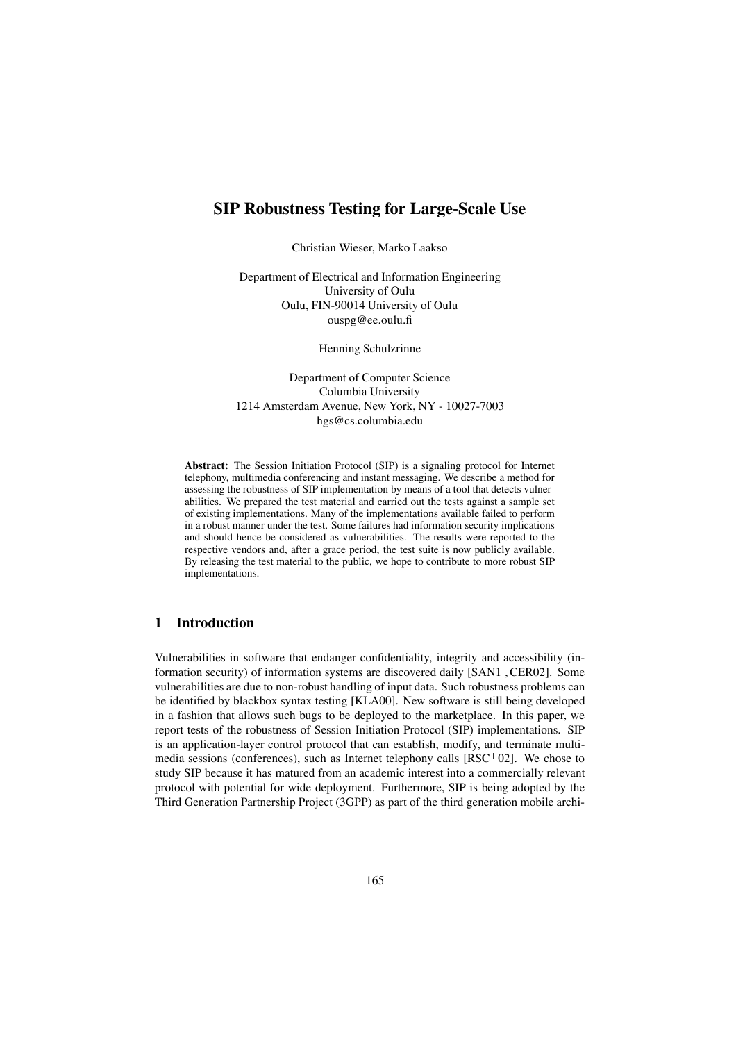# **SIP Robustness Testing for Large-Scale Use**

Christian Wieser, Marko Laakso

Department of Electrical and Information Engineering University of Oulu Oulu, FIN-90014 University of Oulu ouspg@ee.oulu.fi

Henning Schulzrinne

Department of Computer Science Columbia University 1214 Amsterdam Avenue, New York, NY - 10027-7003 hgs@cs.columbia.edu

**Abstract:** The Session Initiation Protocol (SIP) is a signaling protocol for Internet telephony, multimedia conferencing and instant messaging. We describe a method for assessing the robustness of SIP implementation by means of a tool that detects vulnerabilities. We prepared the test material and carried out the tests against a sample set of existing implementations. Many of the implementations available failed to perform in a robust manner under the test. Some failures had information security implications and should hence be considered as vulnerabilities. The results were reported to the respective vendors and, after a grace period, the test suite is now publicly available. By releasing the test material to the public, we hope to contribute to more robust SIP implementations.

# **1 Introduction**

Vulnerabilities in software that endanger confidentiality, integrity and accessibility (information security) of information systems are discovered daily [SAN1 , CER02]. Some vulnerabilities are due to non-robust handling of input data. Such robustness problems can be identified by blackbox syntax testing [KLA00]. New software is still being developed in a fashion that allows such bugs to be deployed to the marketplace. In this paper, we report tests of the robustness of Session Initiation Protocol (SIP) implementations. SIP is an application-layer control protocol that can establish, modify, and terminate multimedia sessions (conferences), such as Internet telephony calls  $[RSC<sup>+</sup>02]$ . We chose to study SIP because it has matured from an academic interest into a commercially relevant protocol with potential for wide deployment. Furthermore, SIP is being adopted by the Third Generation Partnership Project (3GPP) as part of the third generation mobile archi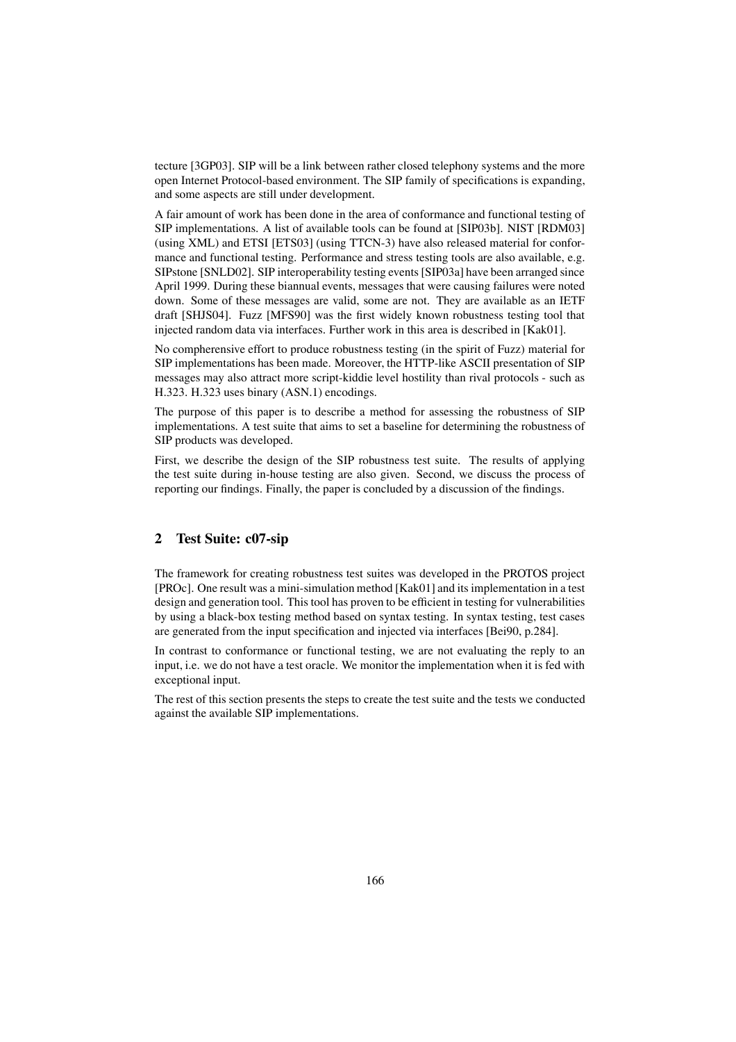tecture [3GP03]. SIP will be a link between rather closed telephony systems and the more open Internet Protocol-based environment. The SIP family of specifications is expanding, and some aspects are still under development.

A fair amount of work has been done in the area of conformance and functional testing of SIP implementations. A list of available tools can be found at [SIP03b]. NIST [RDM03] (using XML) and ETSI [ETS03] (using TTCN-3) have also released material for conformance and functional testing. Performance and stress testing tools are also available, e.g. SIPstone [SNLD02]. SIP interoperability testing events [SIP03a] have been arranged since April 1999. During these biannual events, messages that were causing failures were noted down. Some of these messages are valid, some are not. They are available as an IETF draft [SHJS04]. Fuzz [MFS90] was the first widely known robustness testing tool that injected random data via interfaces. Further work in this area is described in [Kak01].

No compherensive effort to produce robustness testing (in the spirit of Fuzz) material for SIP implementations has been made. Moreover, the HTTP-like ASCII presentation of SIP messages may also attract more script-kiddie level hostility than rival protocols - such as H.323. H.323 uses binary (ASN.1) encodings.

The purpose of this paper is to describe a method for assessing the robustness of SIP implementations. A test suite that aims to set a baseline for determining the robustness of SIP products was developed.

First, we describe the design of the SIP robustness test suite. The results of applying the test suite during in-house testing are also given. Second, we discuss the process of reporting our findings. Finally, the paper is concluded by a discussion of the findings.

# **2 Test Suite: c07-sip**

The framework for creating robustness test suites was developed in the PROTOS project [PROc]. One result was a mini-simulation method [Kak01] and its implementation in a test design and generation tool. This tool has proven to be efficient in testing for vulnerabilities by using a black-box testing method based on syntax testing. In syntax testing, test cases are generated from the input specification and injected via interfaces [Bei90, p.284].

In contrast to conformance or functional testing, we are not evaluating the reply to an input, i.e. we do not have a test oracle. We monitor the implementation when it is fed with exceptional input.

The rest of this section presents the steps to create the test suite and the tests we conducted against the available SIP implementations.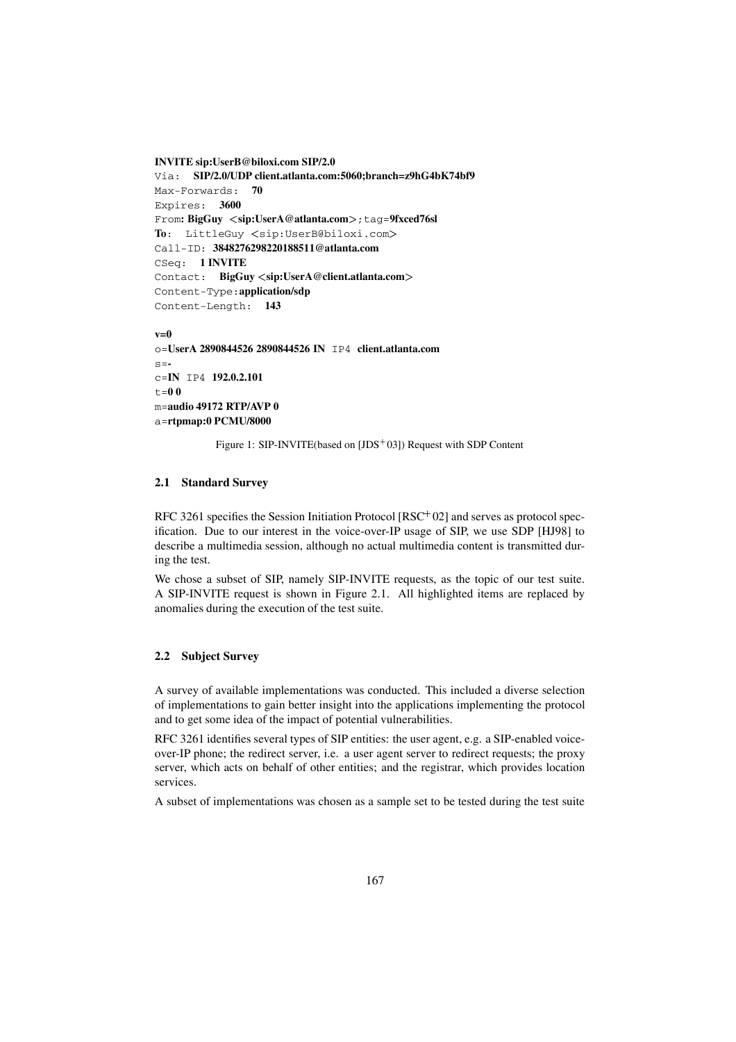```
INVITE sip:UserB@biloxi.com SIP/2.0
Via: SIP/2.0/UDP client.atlanta.com:5060;branch=z9hG4bK74bf9
Max-Forwards: 70
Expires: 3600
From: BigGuy <sip:UserA@atlanta.com>; tag=9fxced76sl
To: LittleGuy <sip:UserB@biloxi.com>
Call-ID: 3848276298220188511@atlanta.com
CSeq: 1 INVITE
Contact: BigGuy sip:UserA@client.atlanta.com
Content-Type:application/sdp
Content-Length: 143
```
#### **v=0**

```
o=UserA 2890844526 2890844526 IN IP4 client.atlanta.com
s=-
c=IN IP4 192.0.2.101
t=0 0
m=audio 49172 RTP/AVP 0
a=rtpmap:0 PCMU/8000
```
Figure 1: SIP-INVITE(based on [JDS<sup>+</sup>03]) Request with SDP Content

# **2.1 Standard Survey**

RFC 3261 specifies the Session Initiation Protocol [RSC 02] and serves as protocol specification. Due to our interest in the voice-over-IP usage of SIP, we use SDP [HJ98] to describe a multimedia session, although no actual multimedia content is transmitted during the test.

We chose a subset of SIP, namely SIP-INVITE requests, as the topic of our test suite. A SIP-INVITE request is shown in Figure 2.1. All highlighted items are replaced by anomalies during the execution of the test suite.

#### **2.2 Subject Survey**

A survey of available implementations was conducted. This included a diverse selection of implementations to gain better insight into the applications implementing the protocol and to get some idea of the impact of potential vulnerabilities.

RFC 3261 identifies several types of SIP entities: the user agent, e.g. a SIP-enabled voiceover-IP phone; the redirect server, i.e. a user agent server to redirect requests; the proxy server, which acts on behalf of other entities; and the registrar, which provides location services.

A subset of implementations was chosen as a sample set to be tested during the test suite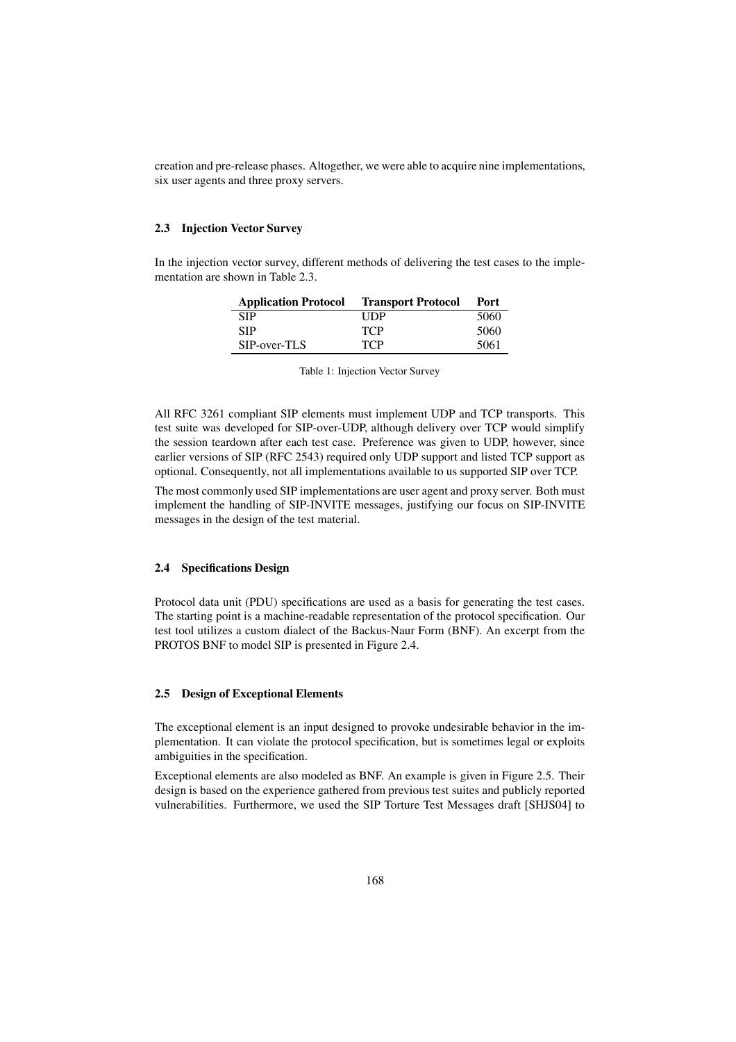creation and pre-release phases. Altogether, we were able to acquire nine implementations, six user agents and three proxy servers.

#### **2.3 Injection Vector Survey**

In the injection vector survey, different methods of delivering the test cases to the implementation are shown in Table 2.3.

| <b>Application Protocol</b> | <b>Transport Protocol</b> | Port |
|-----------------------------|---------------------------|------|
| <b>SIP</b>                  | <b>TIDP</b>               | 5060 |
| <b>SIP</b>                  | <b>TCP</b>                | 5060 |
| SIP-over-TLS                | <b>TCP</b>                | 5061 |

| Table 1: Injection Vector Survey |  |  |
|----------------------------------|--|--|
|----------------------------------|--|--|

All RFC 3261 compliant SIP elements must implement UDP and TCP transports. This test suite was developed for SIP-over-UDP, although delivery over TCP would simplify the session teardown after each test case. Preference was given to UDP, however, since earlier versions of SIP (RFC 2543) required only UDP support and listed TCP support as optional. Consequently, not all implementations available to us supported SIP over TCP.

The most commonly used SIP implementations are user agent and proxy server. Both must implement the handling of SIP-INVITE messages, justifying our focus on SIP-INVITE messages in the design of the test material.

#### **2.4 Specifications Design**

Protocol data unit (PDU) specifications are used as a basis for generating the test cases. The starting point is a machine-readable representation of the protocol specification. Our test tool utilizes a custom dialect of the Backus-Naur Form (BNF). An excerpt from the PROTOS BNF to model SIP is presented in Figure 2.4.

#### **2.5 Design of Exceptional Elements**

The exceptional element is an input designed to provoke undesirable behavior in the implementation. It can violate the protocol specification, but is sometimes legal or exploits ambiguities in the specification.

Exceptional elements are also modeled as BNF. An example is given in Figure 2.5. Their design is based on the experience gathered from previous test suites and publicly reported vulnerabilities. Furthermore, we used the SIP Torture Test Messages draft [SHJS04] to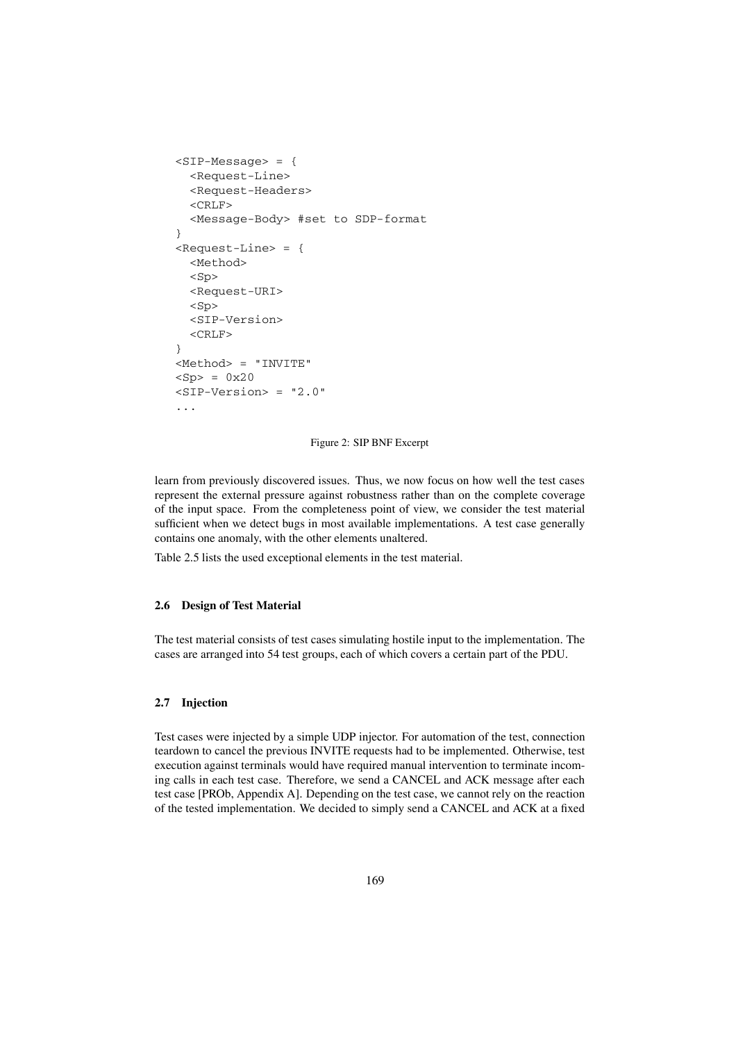```
<SIP-Message> = {
  <Request-Line>
  <Request-Headers>
  <CRLF>
  <Message-Body> #set to SDP-format
}
<Request-Line> = {
  <Method>
  <Sp>
  <Request-URI>
  <Sp>
  <SIP-Version>
  <CRLF>
}
<Method> = "INVITE"
<Sp> = 0x20
<SIP-Version> = "2.0"
...
```
#### Figure 2: SIP BNF Excerpt

learn from previously discovered issues. Thus, we now focus on how well the test cases represent the external pressure against robustness rather than on the complete coverage of the input space. From the completeness point of view, we consider the test material sufficient when we detect bugs in most available implementations. A test case generally contains one anomaly, with the other elements unaltered.

Table 2.5 lists the used exceptional elements in the test material.

# **2.6 Design of Test Material**

The test material consists of test cases simulating hostile input to the implementation. The cases are arranged into 54 test groups, each of which covers a certain part of the PDU.

#### **2.7 Injection**

Test cases were injected by a simple UDP injector. For automation of the test, connection teardown to cancel the previous INVITE requests had to be implemented. Otherwise, test execution against terminals would have required manual intervention to terminate incoming calls in each test case. Therefore, we send a CANCEL and ACK message after each test case [PROb, Appendix A]. Depending on the test case, we cannot rely on the reaction of the tested implementation. We decided to simply send a CANCEL and ACK at a fixed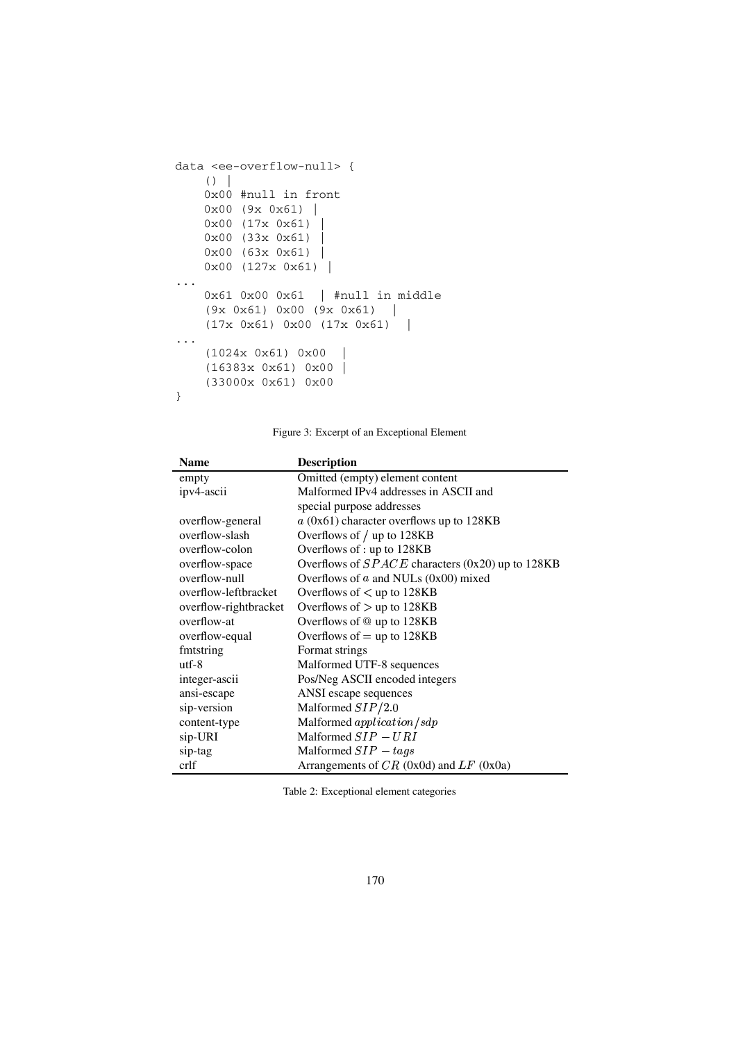```
data <ee-overflow-null> {
   ()0x00 #null in front
    0x00 (9x 0x61) |
    0x00 (17x 0x61) |
    0x00 (33x 0x61) |
    0 \times 00 (63x 0x61) |
    0x00 (127x 0x61) |
...
   0x61 0x00 0x61 | #null in middle
    (9x 0x61) 0x00 (9x 0x61) |
    (17x 0x61) 0x00 (17x 0x61) |
...
    (1024x 0x61) 0x00 |
    (16383x 0x61) 0x00 |
    (33000x 0x61) 0x00
}
```
Figure 3: Excerpt of an Exceptional Element

| <b>Name</b>           | <b>Description</b>                                 |
|-----------------------|----------------------------------------------------|
| empty                 | Omitted (empty) element content                    |
| ipv4-ascii            | Malformed IPv4 addresses in ASCII and              |
|                       | special purpose addresses                          |
| overflow-general      | $a$ (0x61) character overflows up to 128KB         |
| overflow-slash        | Overflows of / up to 128KB                         |
| overflow-colon        | Overflows of : up to 128KB                         |
| overflow-space        | Overflows of $SPACE$ characters (0x20) up to 128KB |
| overflow-null         | Overflows of $a$ and NULs (0x00) mixed             |
| overflow-leftbracket  | Overflows of $\langle$ up to 128KB                 |
| overflow-rightbracket | Overflows of $>$ up to 128KB                       |
| overflow-at           | Overflows of @ up to 128KB                         |
| overflow-equal        | Overflows of $=$ up to 128KB                       |
| fmtstring             | Format strings                                     |
| $utf-8$               | Malformed UTF-8 sequences                          |
| integer-ascii         | Pos/Neg ASCII encoded integers                     |
| ansi-escape           | ANSI escape sequences                              |
| sip-version           | Malformed $SIP/2.0$                                |
| content-type          | Malformed application/sdp                          |
| sip-URI               | Malformed $SIP - URI$                              |
| sip-tag               | Malformed $SIP - tags$                             |
| crlf                  | Arrangements of $CR$ (0x0d) and $LF$ (0x0a)        |

Table 2: Exceptional element categories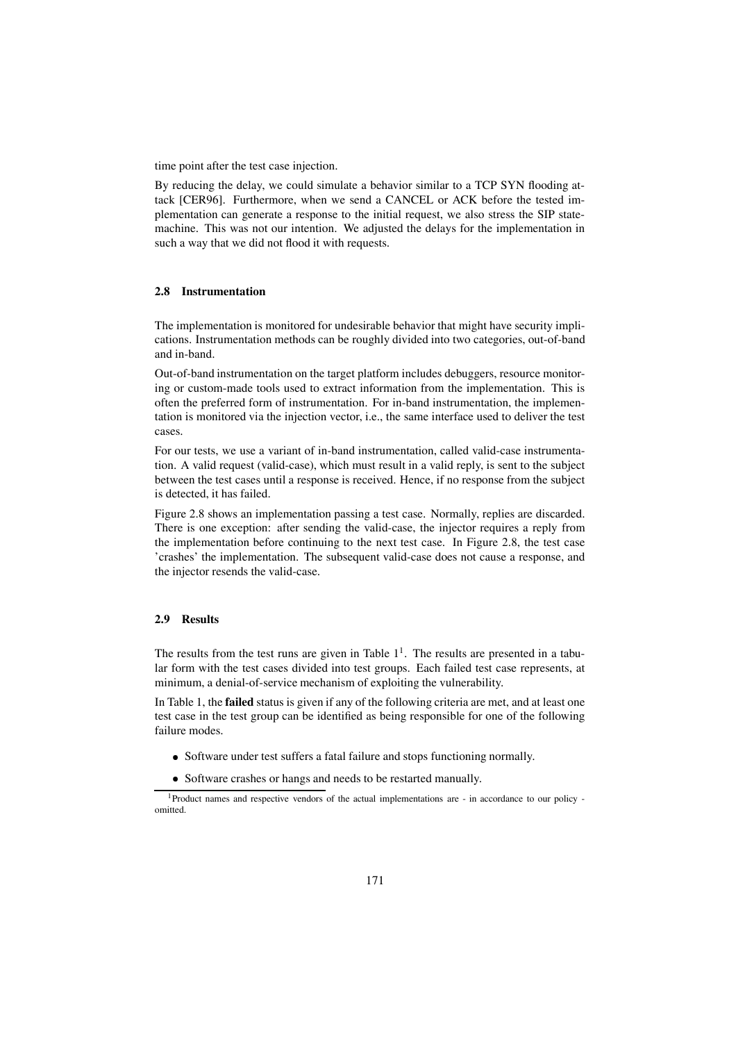time point after the test case injection.

By reducing the delay, we could simulate a behavior similar to a TCP SYN flooding attack [CER96]. Furthermore, when we send a CANCEL or ACK before the tested implementation can generate a response to the initial request, we also stress the SIP statemachine. This was not our intention. We adjusted the delays for the implementation in such a way that we did not flood it with requests.

#### **2.8 Instrumentation**

The implementation is monitored for undesirable behavior that might have security implications. Instrumentation methods can be roughly divided into two categories, out-of-band and in-band.

Out-of-band instrumentation on the target platform includes debuggers, resource monitoring or custom-made tools used to extract information from the implementation. This is often the preferred form of instrumentation. For in-band instrumentation, the implementation is monitored via the injection vector, i.e., the same interface used to deliver the test cases.

For our tests, we use a variant of in-band instrumentation, called valid-case instrumentation. A valid request (valid-case), which must result in a valid reply, is sent to the subject between the test cases until a response is received. Hence, if no response from the subject is detected, it has failed.

Figure 2.8 shows an implementation passing a test case. Normally, replies are discarded. There is one exception: after sending the valid-case, the injector requires a reply from the implementation before continuing to the next test case. In Figure 2.8, the test case 'crashes' the implementation. The subsequent valid-case does not cause a response, and the injector resends the valid-case.

# **2.9 Results**

The results from the test runs are given in Table  $1<sup>1</sup>$ . The results are presented in a tabular form with the test cases divided into test groups. Each failed test case represents, at minimum, a denial-of-service mechanism of exploiting the vulnerability.

In Table 1, the **failed** status is given if any of the following criteria are met, and at least one test case in the test group can be identified as being responsible for one of the following failure modes.

- Software under test suffers a fatal failure and stops functioning normally.
- Software crashes or hangs and needs to be restarted manually.

<sup>1</sup>Product names and respective vendors of the actual implementations are - in accordance to our policy omitted.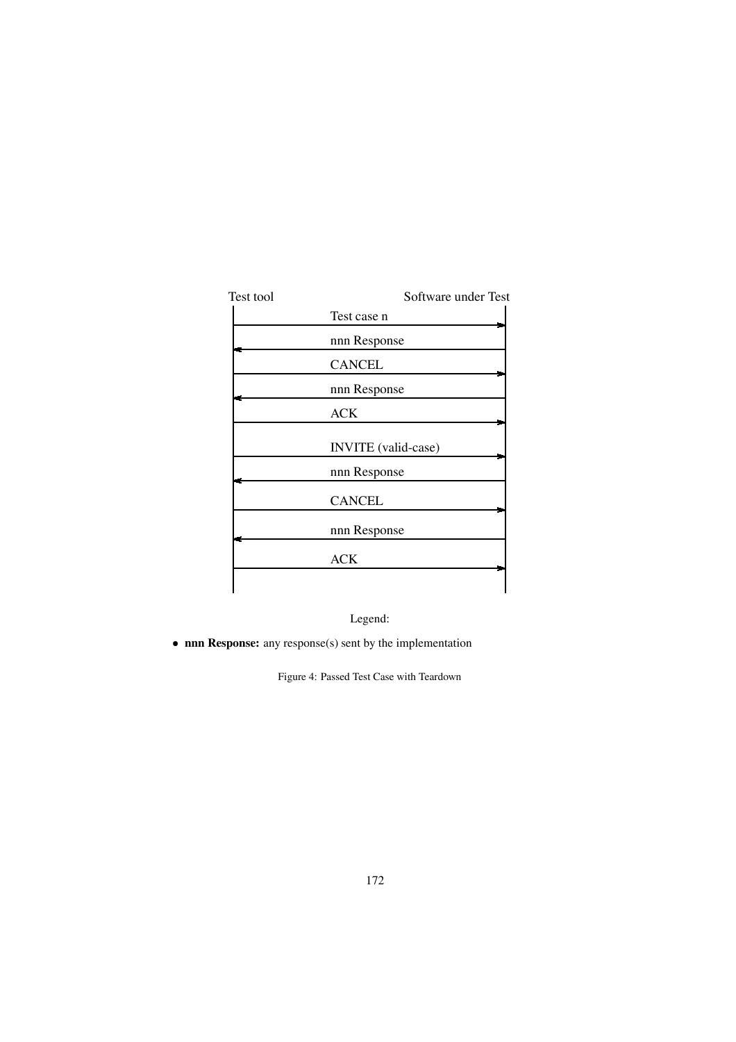| Test tool | Software under Test        |
|-----------|----------------------------|
|           | Test case n                |
|           | nnn Response               |
|           | <b>CANCEL</b>              |
|           | nnn Response               |
|           | <b>ACK</b>                 |
|           | <b>INVITE</b> (valid-case) |
|           | nnn Response               |
|           | <b>CANCEL</b>              |
|           | nnn Response               |
|           | ACK                        |
|           |                            |

Legend:

**nnn Response:** any response(s) sent by the implementation

Figure 4: Passed Test Case with Teardown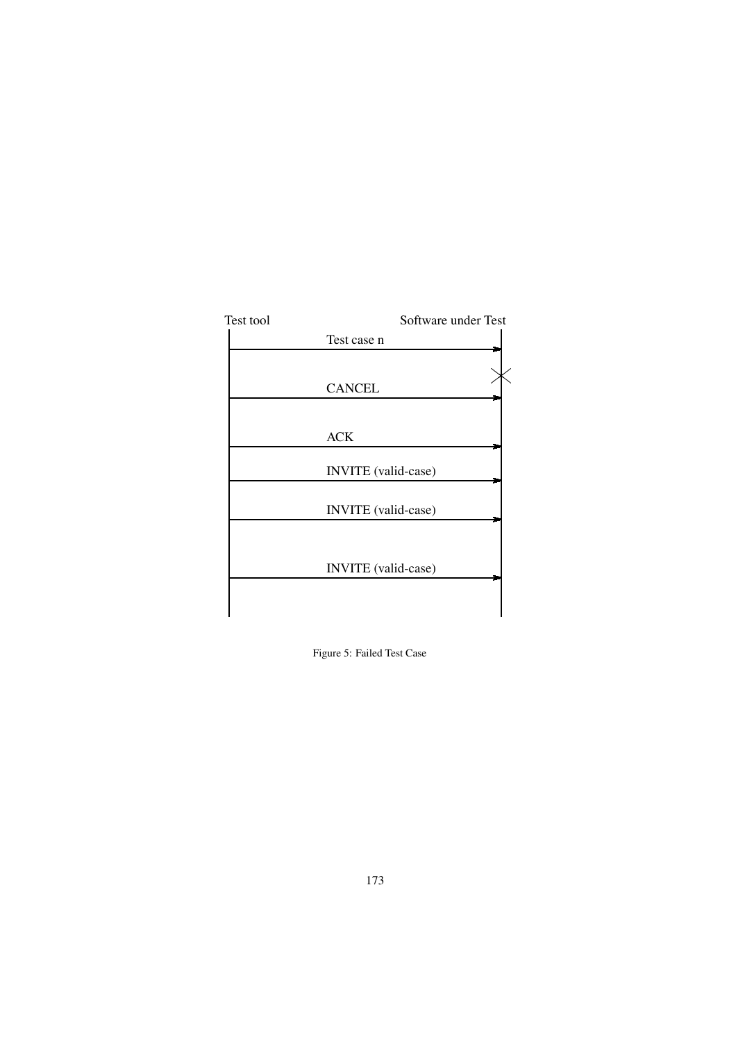

Figure 5: Failed Test Case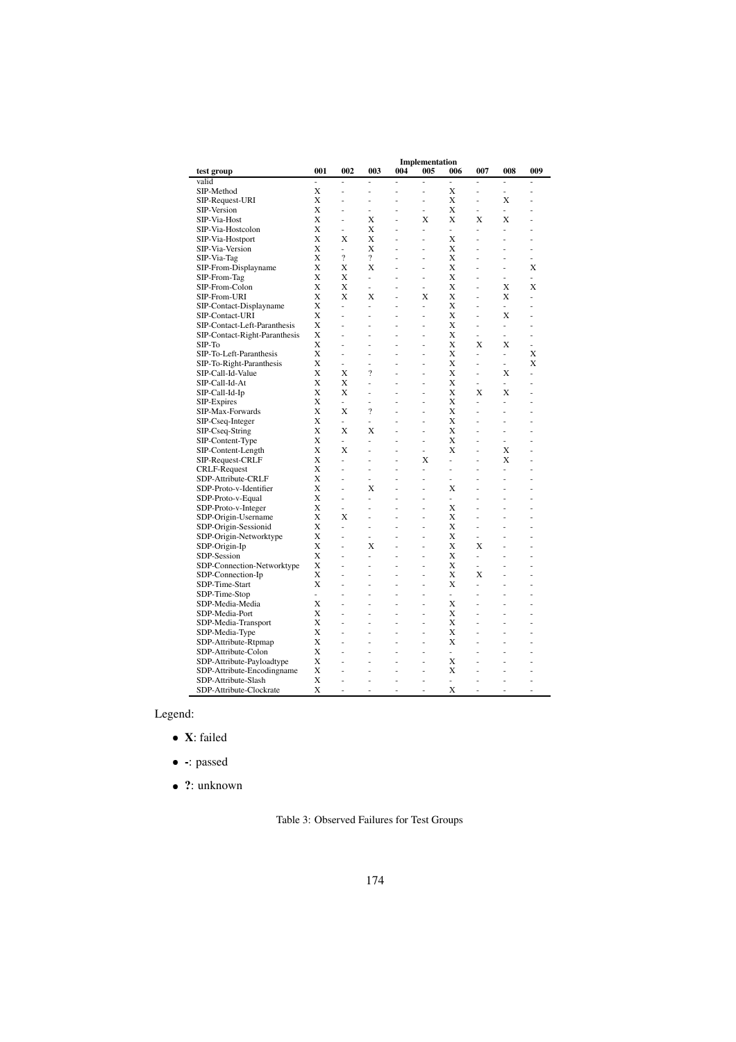|                               | Implementation |                |                          |     |     |     |     |               |     |
|-------------------------------|----------------|----------------|--------------------------|-----|-----|-----|-----|---------------|-----|
| test group                    | 001            | 002            | 003                      | 004 | 005 | 006 | 007 | 008           | 009 |
| valid                         | ä,             | J.             | J.                       | Ĭ.  | J.  | L,  | ä,  | ä,            | L   |
| SIP-Method                    | X              | L,             | i.                       | í.  |     | Х   | L,  | ä,            |     |
| SIP-Request-URI               | Х              | L              | L                        | ä,  | ٠   | X   | ä,  | X             | ä,  |
| SIP-Version                   | X              | ä,             | ä,                       | ۰   | ٠   | X   | ÷.  | ÷             |     |
| SIP-Via-Host                  | X              | L              | Х                        | ä,  | X   | X   | Х   | X             |     |
| SIP-Via-Hostcolon             | Х              | ä,             | Х                        | ä,  | ä,  | ÷.  | ä,  | ä,            | ä,  |
| SIP-Via-Hostport              | Х              | X              | Х                        | J.  | ä,  | X   | L   | L             |     |
| SIP-Via-Version               | X              | ä,             | X                        | ä,  | ä,  | Х   | ä,  | ä,            | J.  |
| SIP-Via-Tag                   | X              | $\overline{?}$ | $\overline{?}$           | ä,  | ä,  | X   | L,  | i.            | ä,  |
| SIP-From-Displayname          | Х              | X              | X                        | J.  | ä,  | Х   | J.  | ä,            | Х   |
| SIP-From-Tag                  | Х              | X              | $\overline{\phantom{m}}$ | ä,  | ä,  | X   | ä,  | ä,            | ä,  |
| SIP-From-Colon                | X              | X              | $\overline{a}$           |     | ä,  | Х   | L   | X             | X   |
| SIP-From-URI                  | Х              | X              | X                        | ä,  | X   | X   | J.  | X             | J.  |
| SIP-Contact-Displayname       | Х              | L.             | L.                       | ä,  | ÷.  | Х   | ä,  | ä,            | ä,  |
| SIP-Contact-URI               | X              | L,             | L,                       | ä   |     | X   | L   | X             |     |
| SIP-Contact-Left-Paranthesis  | X              | L              | L                        |     |     | Х   | L   | ÷,            |     |
| SIP-Contact-Right-Paranthesis | Х              |                | L,                       | ä,  | ä,  | Χ   | ä,  | ä,            |     |
| SIP-To                        | X              | L              | Ĭ.                       | Ĭ.  | ä,  | X   | X   | X             | L   |
| SIP-To-Left-Paranthesis       | X              | L              | Ĭ.                       |     |     | Х   | ä,  | $\frac{1}{2}$ | Х   |
| SIP-To-Right-Paranthesis      | X              | $\overline{a}$ | L                        | ä,  | ٠   | X   | ä,  | ÷,            | X   |
| SIP-Call-Id-Value             | X              | X              | $\overline{\mathcal{L}}$ | ä,  | ä,  | Х   | ä,  | X             | L   |
| SIP-Call-Id-At                | X              | X              | L                        |     |     | X   | L   | L.            |     |
| SIP-Call-Id-Ip                | X              | X              | L,                       | ä,  | ä,  | X   | X   | X             |     |
| SIP-Expires                   | X              | L.             | L                        | ä,  | ä,  | Х   | ä,  | ä,            | ä,  |
| SIP-Max-Forwards              | X              | X              | $\overline{\mathcal{L}}$ |     |     | X   | L   | L             |     |
| SIP-Cseq-Integer              | X              | ÷,             | L,                       |     |     | X   |     | L             |     |
| SIP-Cseq-String               | Х              | X              | Х                        | ä,  | ٠   | X   | L,  | ä,            | ä,  |
| SIP-Content-Type              | X              | $\frac{1}{2}$  | L,                       | Ĭ.  | ä,  | X   | L   | ä,            |     |
| SIP-Content-Length            | X              | X              | L                        | ä,  | ä,  | Х   | L,  | X             |     |
| SIP-Request-CRLF              | Х              | $\overline{a}$ | L                        | Ĭ.  | Х   | ÷,  | ä,  | X             | L   |
| <b>CRLF-Request</b>           | X              | L,             | L,                       | ä,  | ÷.  | ÷,  | ä,  | ä,            | ä,  |
| SDP-Attribute-CRLF            | X              |                |                          | ä,  |     | ä,  | L,  | L,            |     |
| SDP-Proto-v-Identifier        | X              | L              | Х                        |     |     | Х   | L,  | L,            |     |
| SDP-Proto-v-Equal             | Х              | L,             | L                        | ä,  | ä,  | ä,  | ä,  | ä,            | ä,  |
| SDP-Proto-v-Integer           | X              | L,             |                          |     |     | Х   |     |               |     |
| SDP-Origin-Username           | X              | X              | L                        |     |     | X   | L   | L             |     |
| SDP-Origin-Sessionid          | X              | L              | ä,                       | ä,  | ٠   | Х   | ä,  | ÷             | ä,  |
| SDP-Origin-Networktype        | X              | L              | L,                       | ä   | ä,  | X   | L   | L             |     |
| SDP-Origin-Ip                 | Х              | J.             | Х                        |     |     | X   | Х   | ä,            |     |
| SDP-Session                   | Х              | L              | L,                       | ä,  | ä,  | X   | ä,  | L,            | ä,  |
| SDP-Connection-Networktype    | X              | ä,             | ä,                       | ä,  | ä,  | Х   | ä,  | ä,            |     |
| SDP-Connection-Ip             | X              | L              | í,                       | ä,  | ä,  | X   | X   | L             |     |
| SDP-Time-Start                | X              | J.             | L,                       | ä,  | ٠   | Х   | J.  | ä,            | ä,  |
| SDP-Time-Stop                 | ÷,             | ä,             | L,                       | ä,  | ä,  | ÷.  | ä,  | L,            | ä,  |
| SDP-Media-Media               | X              | L              | ä,                       | ä,  | ä,  | X   | ä,  | ä,            |     |
| SDP-Media-Port                | X              | L,             | L,                       | i,  | ä,  | X   | L,  | $\frac{1}{2}$ | ٠   |
| SDP-Media-Transport           | Х              | ä,             | ä,                       | ä,  | ÷   | Х   | ä,  | ä,            |     |
| SDP-Media-Type                | Х              | ä,             | L,                       | ä,  | ä,  | X   | ä,  | L,            |     |
| SDP-Attribute-Rtpmap          | X              | L,             | i.                       |     |     | Х   | L,  | L,            | i,  |
| SDP-Attribute-Colon           | Х              |                | L                        |     |     | ä,  |     | L,            |     |
| SDP-Attribute-Payloadtype     | Х              |                | L                        | ä,  |     | Х   |     | L             |     |
| SDP-Attribute-Encodingname    | X              | L,             | í,                       | Ĭ.  |     | X   | i.  | L,            |     |
| SDP-Attribute-Slash           | X              | L              | L                        | ź   | ä,  | L.  | J.  | ä,            |     |
| SDP-Attribute-Clockrate       | X              | ä,             | ä,                       | ä,  | ä,  | X   | ä,  | ä,            | i,  |
|                               |                |                |                          |     |     |     |     |               |     |

Legend:

- **X**: failed
- **-**: passed
- **?**: unknown

Table 3: Observed Failures for Test Groups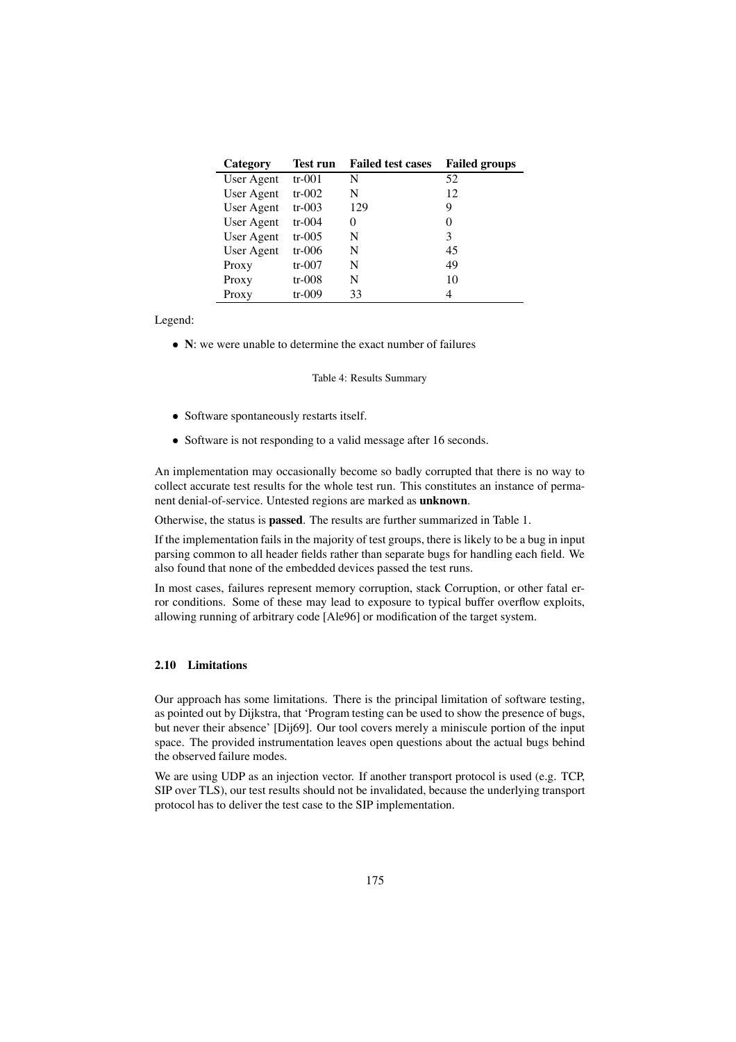| Category   | Test run | <b>Failed test cases</b> | <b>Failed groups</b> |
|------------|----------|--------------------------|----------------------|
| User Agent | $tr-001$ | N                        | 52                   |
| User Agent | $tr-002$ | N                        | 12                   |
| User Agent | $tr-003$ | 129                      | Q                    |
| User Agent | $tr-004$ | 0                        | 0                    |
| User Agent | $tr-005$ | N                        | 3                    |
| User Agent | tr-006   | N                        | 45                   |
| Proxy      | $tr-007$ | N                        | 49                   |
| Proxy      | $tr-008$ | N                        | 10                   |
| Proxy      | tr-009   | 33                       | 4                    |

Legend:

**N**: we were unable to determine the exact number of failures

Table 4: Results Summary

- Software spontaneously restarts itself.
- Software is not responding to a valid message after 16 seconds.

An implementation may occasionally become so badly corrupted that there is no way to collect accurate test results for the whole test run. This constitutes an instance of permanent denial-of-service. Untested regions are marked as **unknown**.

Otherwise, the status is **passed**. The results are further summarized in Table 1.

If the implementation fails in the majority of test groups, there is likely to be a bug in input parsing common to all header fields rather than separate bugs for handling each field. We also found that none of the embedded devices passed the test runs.

In most cases, failures represent memory corruption, stack Corruption, or other fatal error conditions. Some of these may lead to exposure to typical buffer overflow exploits, allowing running of arbitrary code [Ale96] or modification of the target system.

# **2.10 Limitations**

Our approach has some limitations. There is the principal limitation of software testing, as pointed out by Dijkstra, that 'Program testing can be used to show the presence of bugs, but never their absence' [Dij69]. Our tool covers merely a miniscule portion of the input space. The provided instrumentation leaves open questions about the actual bugs behind the observed failure modes.

We are using UDP as an injection vector. If another transport protocol is used (e.g. TCP, SIP over TLS), our test results should not be invalidated, because the underlying transport protocol has to deliver the test case to the SIP implementation.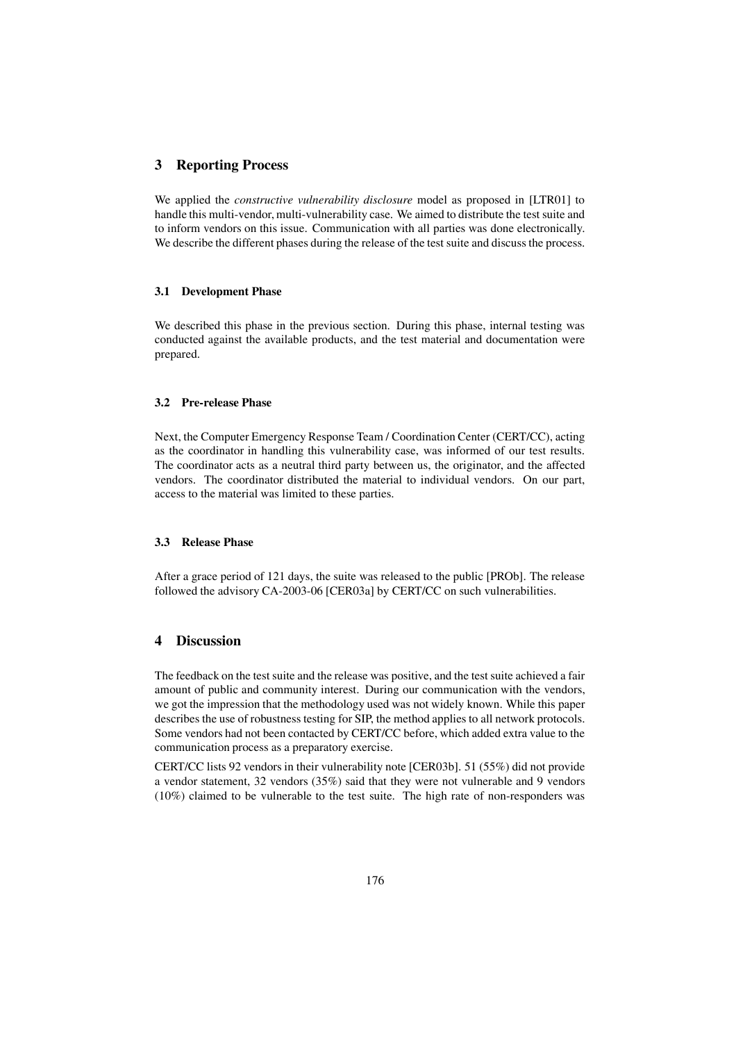### **3 Reporting Process**

We applied the *constructive vulnerability disclosure* model as proposed in [LTR01] to handle this multi-vendor, multi-vulnerability case. We aimed to distribute the test suite and to inform vendors on this issue. Communication with all parties was done electronically. We describe the different phases during the release of the test suite and discuss the process.

#### **3.1 Development Phase**

We described this phase in the previous section. During this phase, internal testing was conducted against the available products, and the test material and documentation were prepared.

#### **3.2 Pre-release Phase**

Next, the Computer Emergency Response Team / Coordination Center (CERT/CC), acting as the coordinator in handling this vulnerability case, was informed of our test results. The coordinator acts as a neutral third party between us, the originator, and the affected vendors. The coordinator distributed the material to individual vendors. On our part, access to the material was limited to these parties.

#### **3.3 Release Phase**

After a grace period of 121 days, the suite was released to the public [PROb]. The release followed the advisory CA-2003-06 [CER03a] by CERT/CC on such vulnerabilities.

## **4 Discussion**

The feedback on the test suite and the release was positive, and the test suite achieved a fair amount of public and community interest. During our communication with the vendors, we got the impression that the methodology used was not widely known. While this paper describes the use of robustness testing for SIP, the method applies to all network protocols. Some vendors had not been contacted by CERT/CC before, which added extra value to the communication process as a preparatory exercise.

CERT/CC lists 92 vendors in their vulnerability note [CER03b]. 51 (55%) did not provide a vendor statement, 32 vendors (35%) said that they were not vulnerable and 9 vendors (10%) claimed to be vulnerable to the test suite. The high rate of non-responders was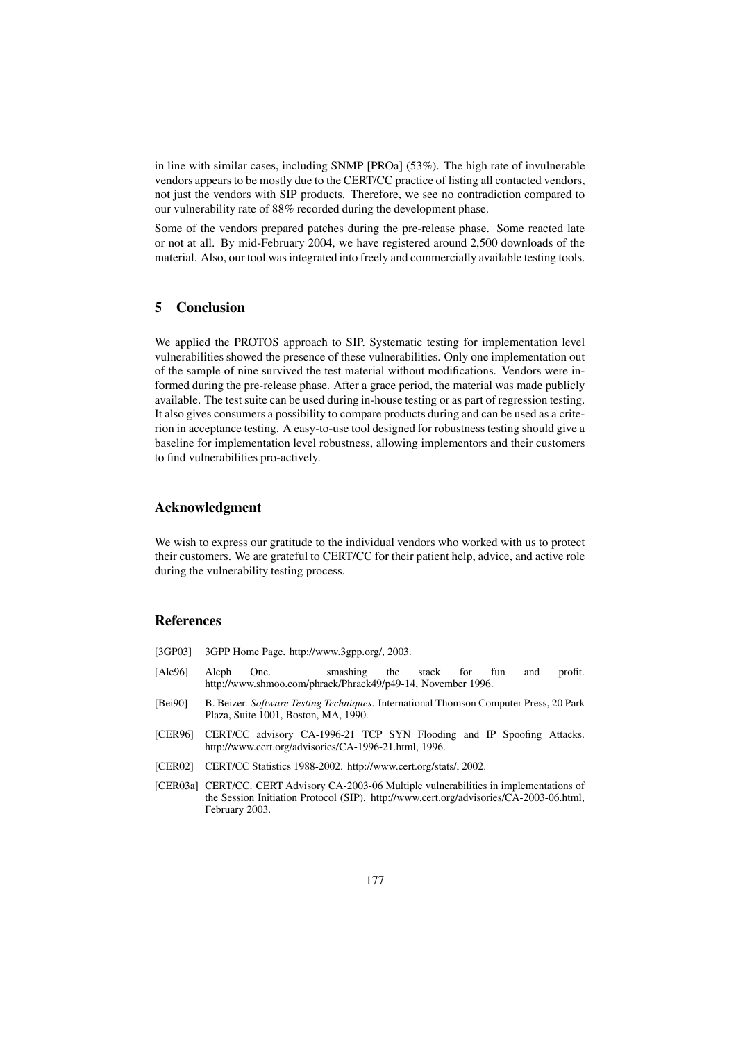in line with similar cases, including SNMP [PROa] (53%). The high rate of invulnerable vendors appears to be mostly due to the CERT/CC practice of listing all contacted vendors, not just the vendors with SIP products. Therefore, we see no contradiction compared to our vulnerability rate of 88% recorded during the development phase.

Some of the vendors prepared patches during the pre-release phase. Some reacted late or not at all. By mid-February 2004, we have registered around 2,500 downloads of the material. Also, our tool was integrated into freely and commercially available testing tools.

# **5 Conclusion**

We applied the PROTOS approach to SIP. Systematic testing for implementation level vulnerabilities showed the presence of these vulnerabilities. Only one implementation out of the sample of nine survived the test material without modifications. Vendors were informed during the pre-release phase. After a grace period, the material was made publicly available. The test suite can be used during in-house testing or as part of regression testing. It also gives consumers a possibility to compare products during and can be used as a criterion in acceptance testing. A easy-to-use tool designed for robustness testing should give a baseline for implementation level robustness, allowing implementors and their customers to find vulnerabilities pro-actively.

# **Acknowledgment**

We wish to express our gratitude to the individual vendors who worked with us to protect their customers. We are grateful to CERT/CC for their patient help, advice, and active role during the vulnerability testing process.

## **References**

- [3GP03] 3GPP Home Page. http://www.3gpp.org/, 2003.
- [Ale96] Aleph One. smashing the stack for fun and profit. http://www.shmoo.com/phrack/Phrack49/p49-14, November 1996.
- [Bei90] B. Beizer. *Software Testing Techniques*. International Thomson Computer Press, 20 Park Plaza, Suite 1001, Boston, MA, 1990.
- [CER96] CERT/CC advisory CA-1996-21 TCP SYN Flooding and IP Spoofing Attacks. http://www.cert.org/advisories/CA-1996-21.html, 1996.
- [CER02] CERT/CC Statistics 1988-2002. http://www.cert.org/stats/, 2002.
- [CER03a] CERT/CC. CERT Advisory CA-2003-06 Multiple vulnerabilities in implementations of the Session Initiation Protocol (SIP). http://www.cert.org/advisories/CA-2003-06.html, February 2003.